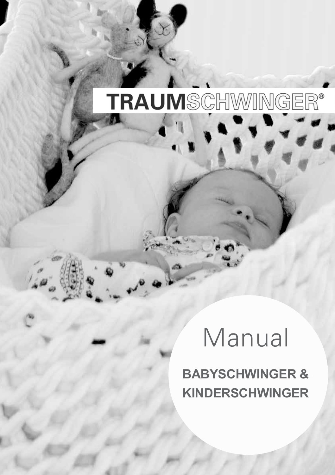# TRAUMSCHWINGER®

# Manual

**BABYSCHWINGER & KINDERSCHWINGER**

- 1 -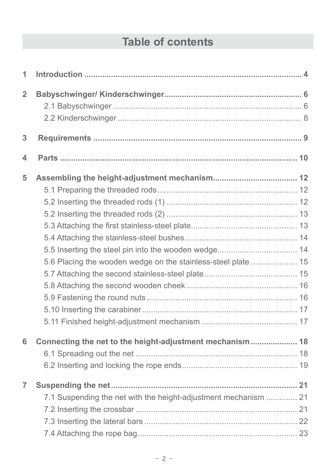## **Table of contents**

| 1              |                                                                 |  |
|----------------|-----------------------------------------------------------------|--|
| $\overline{2}$ |                                                                 |  |
| 3              |                                                                 |  |
| 4              |                                                                 |  |
| 5              |                                                                 |  |
|                |                                                                 |  |
|                |                                                                 |  |
|                |                                                                 |  |
|                |                                                                 |  |
|                |                                                                 |  |
|                |                                                                 |  |
|                | 5.6 Placing the wooden wedge on the stainless-steel plate  15   |  |
|                |                                                                 |  |
|                |                                                                 |  |
|                |                                                                 |  |
|                |                                                                 |  |
|                |                                                                 |  |
| 6              | Connecting the net to the height-adjustment mechanism 18        |  |
|                |                                                                 |  |
|                |                                                                 |  |
| $\overline{7}$ |                                                                 |  |
|                | 7.1 Suspending the net with the height-adjustment mechanism  21 |  |
|                |                                                                 |  |
|                |                                                                 |  |
|                |                                                                 |  |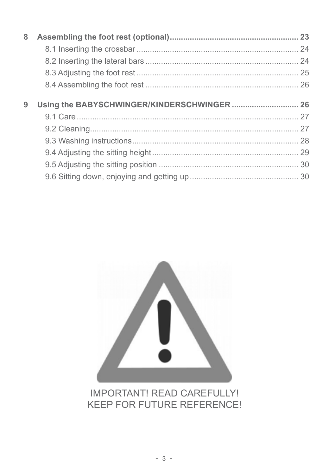| 8 |  |
|---|--|
|   |  |
|   |  |
|   |  |
|   |  |
|   |  |
| 9 |  |
|   |  |
|   |  |
|   |  |
|   |  |
|   |  |
|   |  |



### **IMPORTANT! READ CAREFULLY! KEEP FOR FUTURE REFERENCE!**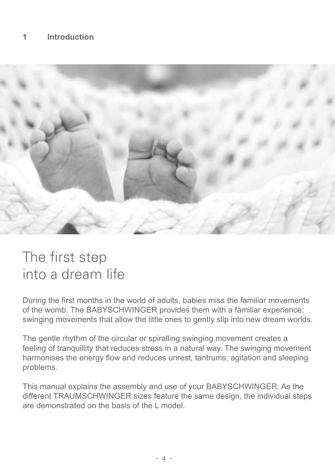

# The first step into a dream life

During the first months in the world of adults, babies miss the familiar movements of the womb. The BABYSCHWINGER provides them with a familiar experience: swinging movements that allow the little ones to gently slip into new dream worlds.

The gentle rhythm of the circular or spiralling swinging movement creates a feeling of tranquillity that reduces stress in a natural way. The swinging movement harmonises the energy flow and reduces unrest, tantrums, agitation and sleeping problems.

This manual explains the assembly and use of your BABYSCHWINGER. As the different TRAUMSCHWINGER sizes feature the same design, the individual steps are demonstrated on the basis of the L model.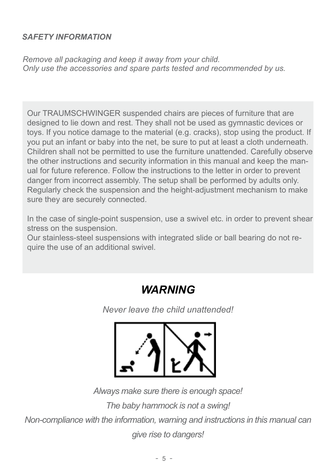#### *SAFETY INFORMATION*

*Remove all packaging and keep it away from your child. Only use the accessories and spare parts tested and recommended by us.*

Our TRAUMSCHWINGER suspended chairs are pieces of furniture that are designed to lie down and rest. They shall not be used as gymnastic devices or toys. If you notice damage to the material (e.g. cracks), stop using the product. If you put an infant or baby into the net, be sure to put at least a cloth underneath. Children shall not be permitted to use the furniture unattended. Carefully observe the other instructions and security information in this manual and keep the manual for future reference. Follow the instructions to the letter in order to prevent danger from incorrect assembly. The setup shall be performed by adults only. Regularly check the suspension and the height-adjustment mechanism to make sure they are securely connected.

In the case of single-point suspension, use a swivel etc. in order to prevent shear stress on the suspension.

Our stainless-steel suspensions with integrated slide or ball bearing do not require the use of an additional swivel.

### *WARNING*

*Never leave the child unattended!*



*Always make sure there is enough space! The baby hammock is not a swing! Non-compliance with the information, warning and instructions in this manual can give rise to dangers!*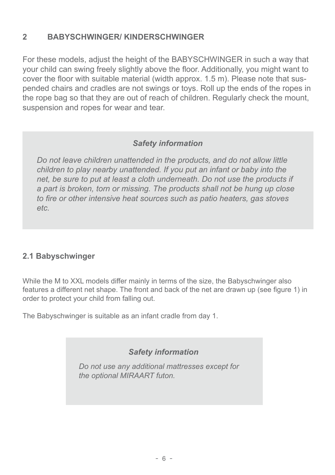#### **2 BABYSCHWINGER/ KINDERSCHWINGER**

For these models, adjust the height of the BABYSCHWINGER in such a way that your child can swing freely slightly above the floor. Additionally, you might want to cover the floor with suitable material (width approx. 1.5 m). Please note that suspended chairs and cradles are not swings or toys. Roll up the ends of the ropes in the rope bag so that they are out of reach of children. Regularly check the mount, suspension and ropes for wear and tear.

#### *Safety information*

*Do not leave children unattended in the products, and do not allow little children to play nearby unattended. If you put an infant or baby into the net, be sure to put at least a cloth underneath. Do not use the products if a part is broken, torn or missing. The products shall not be hung up close to fire or other intensive heat sources such as patio heaters, gas stoves etc.*

#### **2.1 Babyschwinger**

While the M to XXL models differ mainly in terms of the size, the Babyschwinger also features a different net shape. The front and back of the net are drawn up (see figure 1) in order to protect your child from falling out.

The Babyschwinger is suitable as an infant cradle from day 1.

*Safety information*

*Do not use any additional mattresses except for the optional MIRAART futon.*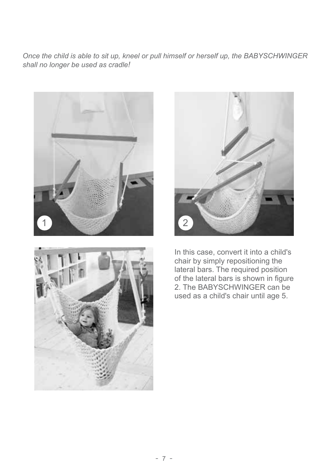*Once the child is able to sit up, kneel or pull himself or herself up, the BABYSCHWINGER shall no longer be used as cradle!*







In this case, convert it into a child's chair by simply repositioning the lateral bars. The required position of the lateral bars is shown in figure 2. The BABYSCHWINGER can be used as a child's chair until age 5.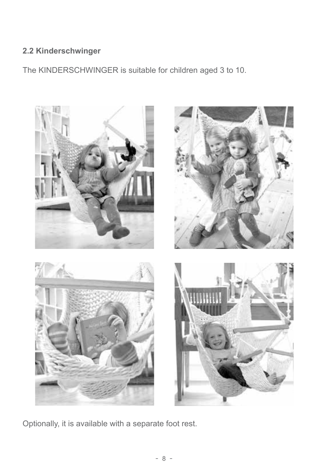#### **2.2 Kinderschwinger**

The KINDERSCHWINGER is suitable for children aged 3 to 10.



Optionally, it is available with a separate foot rest.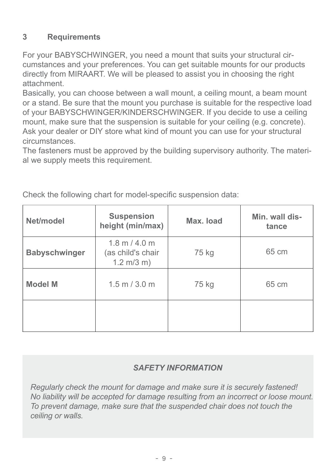#### **3 Requirements**

For your BABYSCHWINGER, you need a mount that suits your structural circumstances and your preferences. You can get suitable mounts for our products directly from MIRAART. We will be pleased to assist you in choosing the right attachment.

Basically, you can choose between a wall mount, a ceiling mount, a beam mount or a stand. Be sure that the mount you purchase is suitable for the respective load of your BABYSCHWINGER/KINDERSCHWINGER. If you decide to use a ceiling mount, make sure that the suspension is suitable for your ceiling (e.g. concrete). Ask your dealer or DIY store what kind of mount you can use for your structural circumstances.

The fasteners must be approved by the building supervisory authority. The material we supply meets this requirement.

| Net/model            | <b>Suspension</b><br>height (min/max)                                               | Max. load | Min. wall dis-<br>tance |
|----------------------|-------------------------------------------------------------------------------------|-----------|-------------------------|
| <b>Babyschwinger</b> | $1.8 \text{ m} / 4.0 \text{ m}$<br>(as child's chair<br>$1.2 \text{ m}/3 \text{ m}$ | 75 kg     | 65 cm                   |
| <b>Model M</b>       | $1.5$ m $/$ 3.0 m                                                                   | 75 kg     | 65 cm                   |
|                      |                                                                                     |           |                         |

Check the following chart for model-specific suspension data:

#### *SAFETY INFORMATION*

*Regularly check the mount for damage and make sure it is securely fastened! No liability will be accepted for damage resulting from an incorrect or loose mount. To prevent damage, make sure that the suspended chair does not touch the ceiling or walls.*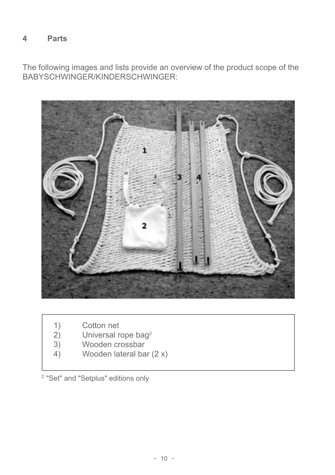#### **4 Parts**

The following images and lists provide an overview of the product scope of the BABYSCHWINGER/KINDERSCHWINGER:



- 
- 1) Cotton net<br>2) Universal re 2) Universal rope bag<sup>2</sup><br>3) Wooden crossbar
- 3) Wooden crossbar<br>4) Wooden lateral ba
- 4) Wooden lateral bar (2 x)

<sup>2</sup> "Set" and "Setplus" editions only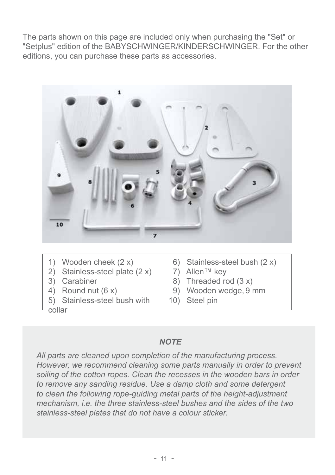The parts shown on this page are included only when purchasing the "Set" or "Setplus" edition of the BABYSCHWINGER/KINDERSCHWINGER. For the other editions, you can purchase these parts as accessories.



- 1) Wooden cheek (2 x)
- 2) Stainless-steel plate (2 x)
- 3) Carabiner
- 4) Round nut (6 x)
- 5) Stainless-steel bush with

collar

- 6) Stainless-steel bush (2 x)
- 7) Allen™ key
- 8) Threaded rod (3 x)
- 9) Wooden wedge, 9 mm
- 10) Steel pin

#### *NOTE*

*All parts are cleaned upon completion of the manufacturing process. However, we recommend cleaning some parts manually in order to prevent soiling of the cotton ropes. Clean the recesses in the wooden bars in order to remove any sanding residue. Use a damp cloth and some detergent to clean the following rope-guiding metal parts of the height-adjustment mechanism, i.e. the three stainless-steel bushes and the sides of the two stainless-steel plates that do not have a colour sticker.*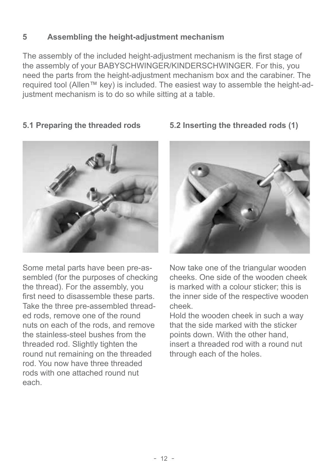#### **5 Assembling the height-adjustment mechanism**

The assembly of the included height-adjustment mechanism is the first stage of the assembly of your BABYSCHWINGER/KINDERSCHWINGER. For this, you need the parts from the height-adjustment mechanism box and the carabiner. The required tool (Allen™ key) is included. The easiest way to assemble the height-adjustment mechanism is to do so while sitting at a table.

#### **5.1 Preparing the threaded rods**



Some metal parts have been pre-assembled (for the purposes of checking the thread). For the assembly, you first need to disassemble these parts. Take the three pre-assembled threaded rods, remove one of the round nuts on each of the rods, and remove the stainless-steel bushes from the threaded rod. Slightly tighten the round nut remaining on the threaded rod. You now have three threaded rods with one attached round nut each.

# **5.2 Inserting the threaded rods (1)**



Now take one of the triangular wooden cheeks. One side of the wooden cheek is marked with a colour sticker; this is the inner side of the respective wooden cheek.

Hold the wooden cheek in such a way that the side marked with the sticker points down. With the other hand insert a threaded rod with a round nut through each of the holes.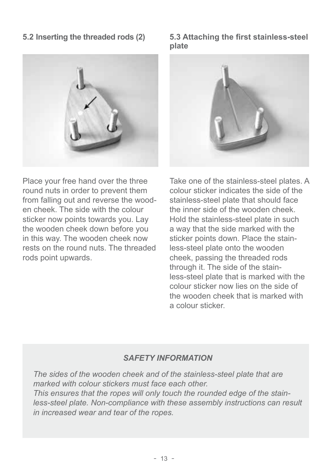#### **5.2 Inserting the threaded rods (2)**



**5.3 Attaching the first stainless-steel plate**



Place your free hand over the three round nuts in order to prevent them from falling out and reverse the wooden cheek. The side with the colour sticker now points towards you. Lay the wooden cheek down before you in this way. The wooden cheek now rests on the round nuts. The threaded rods point upwards.

Take one of the stainless-steel plates. A colour sticker indicates the side of the stainless-steel plate that should face the inner side of the wooden cheek. Hold the stainless-steel plate in such a way that the side marked with the sticker points down. Place the stainless-steel plate onto the wooden cheek, passing the threaded rods through it. The side of the stainless-steel plate that is marked with the colour sticker now lies on the side of the wooden cheek that is marked with a colour sticker.

#### *SAFETY INFORMATION*

*The sides of the wooden cheek and of the stainless-steel plate that are marked with colour stickers must face each other. This ensures that the ropes will only touch the rounded edge of the stainless-steel plate. Non-compliance with these assembly instructions can result in increased wear and tear of the ropes.*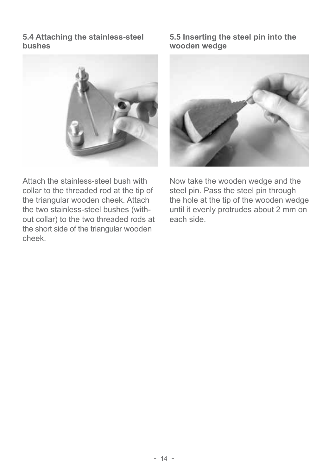#### **5.4 Attaching the stainless-steel bushes**



Attach the stainless-steel bush with collar to the threaded rod at the tip of the triangular wooden cheek. Attach the two stainless-steel bushes (without collar) to the two threaded rods at the short side of the triangular wooden cheek.

#### **5.5 Inserting the steel pin into the wooden wedge**



Now take the wooden wedge and the steel pin. Pass the steel pin through the hole at the tip of the wooden wedge until it evenly protrudes about 2 mm on each side.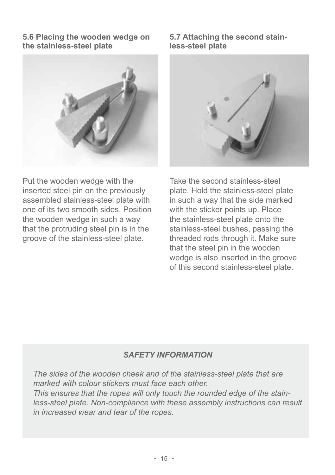**5.6 Placing the wooden wedge on the stainless-steel plate**



Put the wooden wedge with the inserted steel pin on the previously assembled stainless-steel plate with one of its two smooth sides. Position the wooden wedge in such a way that the protruding steel pin is in the groove of the stainless-steel plate.

**5.7 Attaching the second stainless-steel plate**



Take the second stainless-steel plate. Hold the stainless-steel plate in such a way that the side marked with the sticker points up. Place the stainless-steel plate onto the stainless-steel bushes, passing the threaded rods through it. Make sure that the steel pin in the wooden wedge is also inserted in the groove of this second stainless-steel plate.

#### *SAFETY INFORMATION*

*The sides of the wooden cheek and of the stainless-steel plate that are marked with colour stickers must face each other. This ensures that the ropes will only touch the rounded edge of the stainless-steel plate. Non-compliance with these assembly instructions can result in increased wear and tear of the ropes.*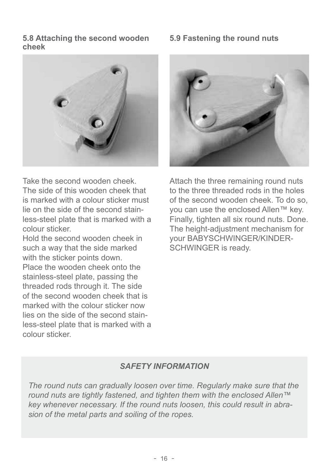**5.8 Attaching the second wooden cheek**



**5.9 Fastening the round nuts**



Take the second wooden cheek. The side of this wooden cheek that is marked with a colour sticker must lie on the side of the second stainless-steel plate that is marked with a colour sticker.

Hold the second wooden cheek in such a way that the side marked with the sticker points down. Place the wooden cheek onto the stainless-steel plate, passing the threaded rods through it. The side of the second wooden cheek that is marked with the colour sticker now lies on the side of the second stainless-steel plate that is marked with a colour sticker.

Attach the three remaining round nuts to the three threaded rods in the holes of the second wooden cheek. To do so, you can use the enclosed Allen™ key. Finally, tighten all six round nuts. Done. The height-adjustment mechanism for your BABYSCHWINGER/KINDER-SCHWINGER is ready.

#### *SAFETY INFORMATION*

*The round nuts can gradually loosen over time. Regularly make sure that the round nuts are tightly fastened, and tighten them with the enclosed Allen™ key whenever necessary. If the round nuts loosen, this could result in abrasion of the metal parts and soiling of the ropes.*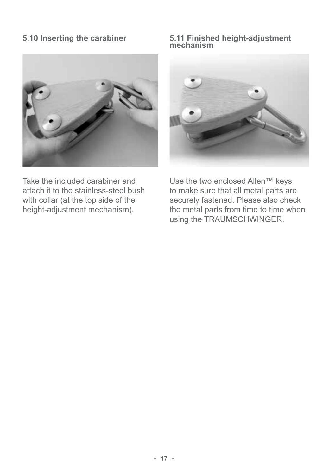

Take the included carabiner and attach it to the stainless-steel bush with collar (at the top side of the height-adjustment mechanism).

#### **5.10 Inserting the carabiner 5.11 Finished height-adjustment mechanism**



Use the two enclosed Allen™ keys to make sure that all metal parts are securely fastened. Please also check the metal parts from time to time when using the TRAUMSCHWINGER.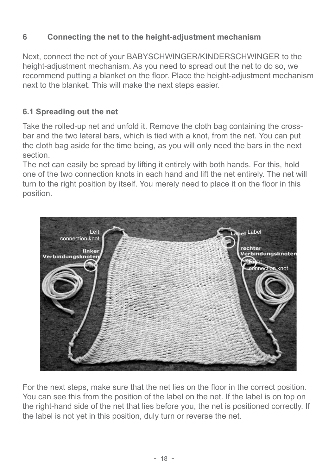#### **6 Connecting the net to the height-adjustment mechanism**

Next, connect the net of your BABYSCHWINGER/KINDERSCHWINGER to the height-adjustment mechanism. As you need to spread out the net to do so, we recommend putting a blanket on the floor. Place the height-adjustment mechanism next to the blanket. This will make the next steps easier.

#### **6.1 Spreading out the net**

Take the rolled-up net and unfold it. Remove the cloth bag containing the crossbar and the two lateral bars, which is tied with a knot, from the net. You can put the cloth bag aside for the time being, as you will only need the bars in the next section.

The net can easily be spread by lifting it entirely with both hands. For this, hold one of the two connection knots in each hand and lift the net entirely. The net will turn to the right position by itself. You merely need to place it on the floor in this position.



For the next steps, make sure that the net lies on the floor in the correct position. You can see this from the position of the label on the net. If the label is on top on the right-hand side of the net that lies before you, the net is positioned correctly. If the label is not yet in this position, duly turn or reverse the net.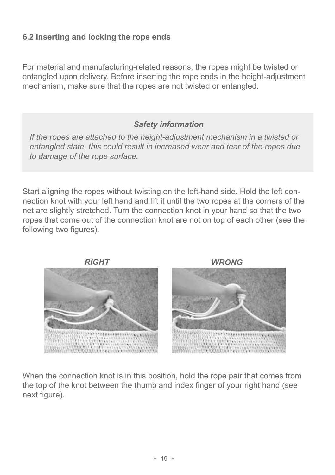#### **6.2 Inserting and locking the rope ends**

For material and manufacturing-related reasons, the ropes might be twisted or entangled upon delivery. Before inserting the rope ends in the height-adjustment mechanism, make sure that the ropes are not twisted or entangled.

*Safety information*

*If the ropes are attached to the height-adjustment mechanism in a twisted or entangled state, this could result in increased wear and tear of the ropes due to damage of the rope surface.*

Start aligning the ropes without twisting on the left-hand side. Hold the left connection knot with your left hand and lift it until the two ropes at the corners of the net are slightly stretched. Turn the connection knot in your hand so that the two ropes that come out of the connection knot are not on top of each other (see the following two figures).



When the connection knot is in this position, hold the rope pair that comes from the top of the knot between the thumb and index finger of your right hand (see next figure).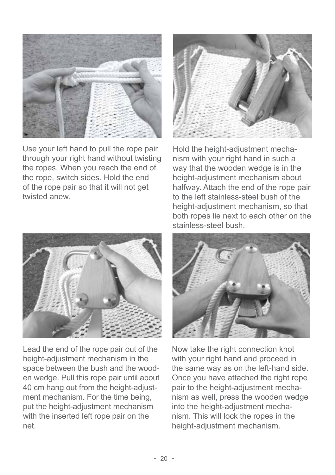

Use your left hand to pull the rope pair through your right hand without twisting the ropes. When you reach the end of the rope, switch sides. Hold the end of the rope pair so that it will not get twisted anew.



Hold the height-adjustment mechanism with your right hand in such a way that the wooden wedge is in the height-adjustment mechanism about halfway. Attach the end of the rope pair to the left stainless-steel bush of the height-adjustment mechanism, so that both ropes lie next to each other on the stainless-steel bush.



Lead the end of the rope pair out of the height-adjustment mechanism in the space between the bush and the wooden wedge. Pull this rope pair until about 40 cm hang out from the height-adjustment mechanism. For the time being, put the height-adjustment mechanism with the inserted left rope pair on the net.



Now take the right connection knot with your right hand and proceed in the same way as on the left-hand side. Once you have attached the right rope pair to the height-adjustment mechanism as well, press the wooden wedge into the height-adjustment mechanism. This will lock the ropes in the height-adjustment mechanism.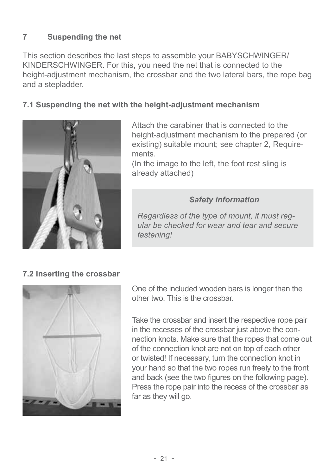#### **7 Suspending the net**

This section describes the last steps to assemble your BABYSCHWINGER/ KINDERSCHWINGER. For this, you need the net that is connected to the height-adjustment mechanism, the crossbar and the two lateral bars, the rope bag and a stepladder.

#### **7.1 Suspending the net with the height-adjustment mechanism**



Attach the carabiner that is connected to the height-adjustment mechanism to the prepared (or existing) suitable mount; see chapter 2, Requirements.

(In the image to the left, the foot rest sling is already attached)

#### *Safety information*

*Regardless of the type of mount, it must regular be checked for wear and tear and secure fastening!*

#### **7.2 Inserting the crossbar**



One of the included wooden bars is longer than the other two. This is the crossbar.

Take the crossbar and insert the respective rope pair in the recesses of the crossbar just above the connection knots. Make sure that the ropes that come out of the connection knot are not on top of each other or twisted! If necessary, turn the connection knot in your hand so that the two ropes run freely to the front and back (see the two figures on the following page). Press the rope pair into the recess of the crossbar as far as they will go.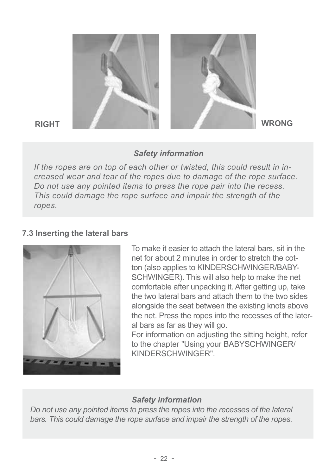

#### *Safety information*

*If the ropes are on top of each other or twisted, this could result in increased wear and tear of the ropes due to damage of the rope surface. Do not use any pointed items to press the rope pair into the recess. This could damage the rope surface and impair the strength of the ropes.*

#### **7.3 Inserting the lateral bars**



To make it easier to attach the lateral bars, sit in the net for about 2 minutes in order to stretch the cotton (also applies to KINDERSCHWINGER/BABY-SCHWINGER). This will also help to make the net comfortable after unpacking it. After getting up, take the two lateral bars and attach them to the two sides alongside the seat between the existing knots above the net. Press the ropes into the recesses of the lateral bars as far as they will go.

For information on adjusting the sitting height, refer to the chapter "Using your BABYSCHWINGER/ KINDERSCHWINGER".

#### *Safety information*

*Do not use any pointed items to press the ropes into the recesses of the lateral bars. This could damage the rope surface and impair the strength of the ropes.*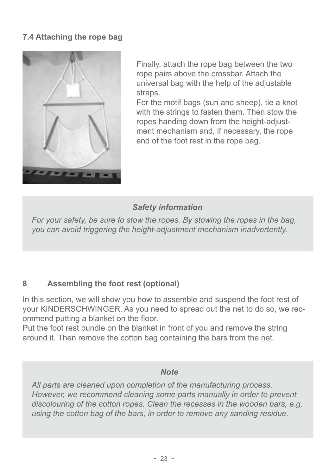#### **7.4 Attaching the rope bag**



Finally, attach the rope bag between the two rope pairs above the crossbar. Attach the universal bag with the help of the adjustable straps.

For the motif bags (sun and sheep), tie a knot with the strings to fasten them. Then stow the ropes handing down from the height-adjustment mechanism and, if necessary, the rope end of the foot rest in the rope bag.

#### *Safety information*

*For your safety, be sure to stow the ropes. By stowing the ropes in the bag, you can avoid triggering the height-adjustment mechanism inadvertently.*

#### **8 Assembling the foot rest (optional)**

In this section, we will show you how to assemble and suspend the foot rest of your KINDERSCHWINGER. As you need to spread out the net to do so, we recommend putting a blanket on the floor.

Put the foot rest bundle on the blanket in front of you and remove the string around it. Then remove the cotton bag containing the bars from the net.

#### *Note*

*All parts are cleaned upon completion of the manufacturing process. However, we recommend cleaning some parts manually in order to prevent discolouring of the cotton ropes. Clean the recesses in the wooden bars, e.g. using the cotton bag of the bars, in order to remove any sanding residue.*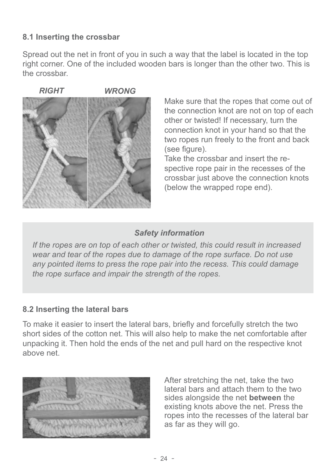#### **8.1 Inserting the crossbar**

Spread out the net in front of you in such a way that the label is located in the top right corner. One of the included wooden bars is longer than the other two. This is the crossbar

*RIGHT WRONG*



Make sure that the ropes that come out of the connection knot are not on top of each other or twisted! If necessary, turn the connection knot in your hand so that the two ropes run freely to the front and back (see figure).

Take the crossbar and insert the respective rope pair in the recesses of the crossbar just above the connection knots (below the wrapped rope end).

#### *Safety information*

*If the ropes are on top of each other or twisted, this could result in increased wear and tear of the ropes due to damage of the rope surface. Do not use any pointed items to press the rope pair into the recess. This could damage the rope surface and impair the strength of the ropes.*

#### **8.2 Inserting the lateral bars**

To make it easier to insert the lateral bars, briefly and forcefully stretch the two short sides of the cotton net. This will also help to make the net comfortable after unpacking it. Then hold the ends of the net and pull hard on the respective knot above net.



After stretching the net, take the two lateral bars and attach them to the two sides alongside the net **between** the existing knots above the net. Press the ropes into the recesses of the lateral bar as far as they will go.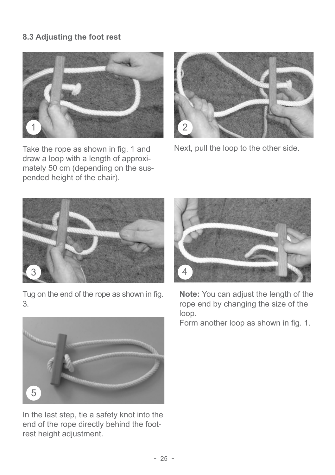#### **8.3 Adjusting the foot rest**



Take the rope as shown in fig. 1 and draw a loop with a length of approximately 50 cm (depending on the suspended height of the chair).



Next, pull the loop to the other side.



Tug on the end of the rope as shown in fig. 3.



In the last step, tie a safety knot into the end of the rope directly behind the footrest height adjustment.



**Note:** You can adjust the length of the rope end by changing the size of the loop.

Form another loop as shown in fig. 1.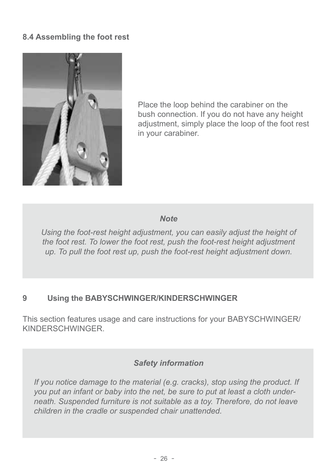#### **8.4 Assembling the foot rest**



Place the loop behind the carabiner on the bush connection. If you do not have any height adjustment, simply place the loop of the foot rest in your carabiner.

#### *Note*

*Using the foot-rest height adjustment, you can easily adjust the height of the foot rest. To lower the foot rest, push the foot-rest height adjustment up. To pull the foot rest up, push the foot-rest height adjustment down.*

#### **9 Using the BABYSCHWINGER/KINDERSCHWINGER**

This section features usage and care instructions for your BABYSCHWINGER/ KINDERSCHWINGER.

#### *Safety information*

*If you notice damage to the material (e.g. cracks), stop using the product. If you put an infant or baby into the net, be sure to put at least a cloth underneath. Suspended furniture is not suitable as a toy. Therefore, do not leave children in the cradle or suspended chair unattended.*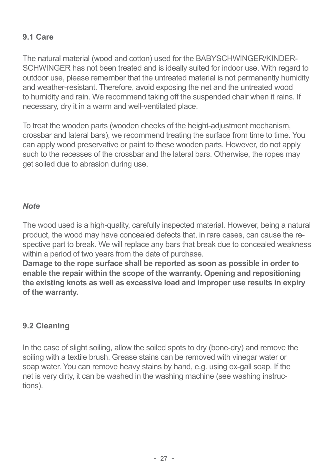#### **9.1 Care**

The natural material (wood and cotton) used for the BABYSCHWINGER/KINDER-SCHWINGER has not been treated and is ideally suited for indoor use. With regard to outdoor use, please remember that the untreated material is not permanently humidity and weather-resistant. Therefore, avoid exposing the net and the untreated wood to humidity and rain. We recommend taking off the suspended chair when it rains. If necessary, dry it in a warm and well-ventilated place.

To treat the wooden parts (wooden cheeks of the height-adjustment mechanism, crossbar and lateral bars), we recommend treating the surface from time to time. You can apply wood preservative or paint to these wooden parts. However, do not apply such to the recesses of the crossbar and the lateral bars. Otherwise, the ropes may get soiled due to abrasion during use.

#### *Note*

The wood used is a high-quality, carefully inspected material. However, being a natural product, the wood may have concealed defects that, in rare cases, can cause the respective part to break. We will replace any bars that break due to concealed weakness within a period of two years from the date of purchase.

**Damage to the rope surface shall be reported as soon as possible in order to enable the repair within the scope of the warranty. Opening and repositioning the existing knots as well as excessive load and improper use results in expiry of the warranty.**

#### **9.2 Cleaning**

In the case of slight soiling, allow the soiled spots to dry (bone-dry) and remove the soiling with a textile brush. Grease stains can be removed with vinegar water or soap water. You can remove heavy stains by hand, e.g. using ox-gall soap. If the net is very dirty, it can be washed in the washing machine (see washing instructions).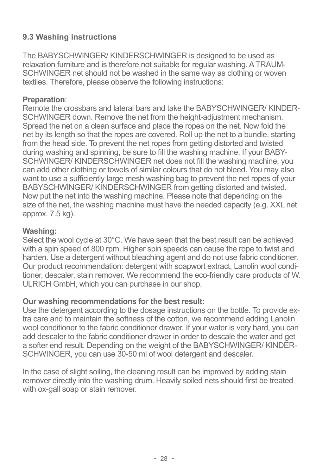#### **9.3 Washing instructions**

The BABYSCHWINGER/ KINDERSCHWINGER is designed to be used as relaxation furniture and is therefore not suitable for regular washing. A TRAUM-SCHWINGER net should not be washed in the same way as clothing or woven textiles. Therefore, please observe the following instructions:

#### **Preparation**:

Remote the crossbars and lateral bars and take the BABYSCHWINGER/ KINDER-SCHWINGER down. Remove the net from the height-adjustment mechanism. Spread the net on a clean surface and place the ropes on the net. Now fold the net by its length so that the ropes are covered. Roll up the net to a bundle, starting from the head side. To prevent the net ropes from getting distorted and twisted during washing and spinning, be sure to fill the washing machine. If your BABY-SCHWINGER/ KINDERSCHWINGER net does not fill the washing machine, you can add other clothing or towels of similar colours that do not bleed. You may also want to use a sufficiently large mesh washing bag to prevent the net ropes of your BABYSCHWINGER/ KINDERSCHWINGER from getting distorted and twisted. Now put the net into the washing machine. Please note that depending on the size of the net, the washing machine must have the needed capacity (e.g. XXL net approx. 7.5 kg).

#### **Washing:**

Select the wool cycle at 30°C. We have seen that the best result can be achieved with a spin speed of 800 rpm. Higher spin speeds can cause the rope to twist and harden. Use a detergent without bleaching agent and do not use fabric conditioner. Our product recommendation: detergent with soapwort extract, Lanolin wool conditioner, descaler, stain remover. We recommend the eco-friendly care products of W. ULRICH GmbH, which you can purchase in our shop.

#### **Our washing recommendations for the best result:**

Use the detergent according to the dosage instructions on the bottle. To provide extra care and to maintain the softness of the cotton, we recommend adding Lanolin wool conditioner to the fabric conditioner drawer. If your water is very hard, you can add descaler to the fabric conditioner drawer in order to descale the water and get a softer end result. Depending on the weight of the BABYSCHWINGER/ KINDER-SCHWINGER, you can use 30-50 ml of wool detergent and descaler.

In the case of slight soiling, the cleaning result can be improved by adding stain remover directly into the washing drum. Heavily soiled nets should first be treated with ox-gall soap or stain remover.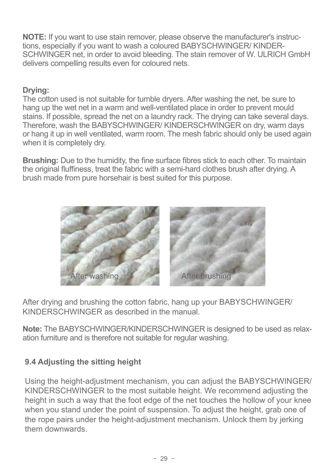**NOTE:** If you want to use stain remover, please observe the manufacturer's instructions, especially if you want to wash a coloured BABYSCHWINGER/ KINDER-SCHWINGER net, in order to avoid bleeding. The stain remover of W. ULRICH GmbH delivers compelling results even for coloured nets.

#### **Drying:**

The cotton used is not suitable for tumble dryers. After washing the net, be sure to hang up the wet net in a warm and well-ventilated place in order to prevent mould stains. If possible, spread the net on a laundry rack. The drying can take several days. Therefore, wash the BABYSCHWINGER/ KINDERSCHWINGER on dry, warm days or hang it up in well ventilated, warm room. The mesh fabric should only be used again when it is completely dry.

**Brushing:** Due to the humidity, the fine surface fibres stick to each other. To maintain the original fluffiness, treat the fabric with a semi-hard clothes brush after drying. A brush made from pure horsehair is best suited for this purpose.



After drying and brushing the cotton fabric, hang up your BABYSCHWINGER/ KINDERSCHWINGER as described in the manual.

**Note:** The BABYSCHWINGER/KINDERSCHWINGER is designed to be used as relaxation furniture and is therefore not suitable for regular washing.

#### **9.4 Adjusting the sitting height**

Using the height-adjustment mechanism, you can adjust the BABYSCHWINGER/ KINDERSCHWINGER to the most suitable height. We recommend adjusting the height in such a way that the foot edge of the net touches the hollow of your knee when you stand under the point of suspension. To adjust the height, grab one of the rope pairs under the height-adjustment mechanism. Unlock them by jerking them downwards.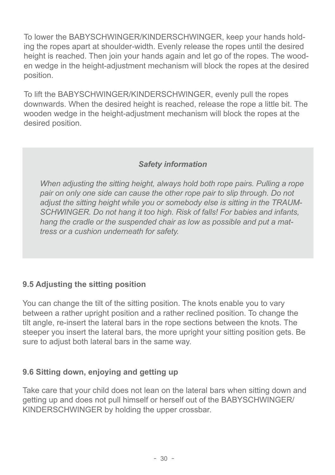To lower the BABYSCHWINGER/KINDERSCHWINGER, keep your hands holding the ropes apart at shoulder-width. Evenly release the ropes until the desired height is reached. Then join your hands again and let go of the ropes. The wooden wedge in the height-adjustment mechanism will block the ropes at the desired position.

To lift the BABYSCHWINGER/KINDERSCHWINGER, evenly pull the ropes downwards. When the desired height is reached, release the rope a little bit. The wooden wedge in the height-adjustment mechanism will block the ropes at the desired position.

#### *Safety information*

*When adjusting the sitting height, always hold both rope pairs. Pulling a rope pair on only one side can cause the other rope pair to slip through. Do not adjust the sitting height while you or somebody else is sitting in the TRAUM-SCHWINGER. Do not hang it too high. Risk of falls! For babies and infants, hang the cradle or the suspended chair as low as possible and put a mattress or a cushion underneath for safety.*

#### **9.5 Adjusting the sitting position**

You can change the tilt of the sitting position. The knots enable you to vary between a rather upright position and a rather reclined position. To change the tilt angle, re-insert the lateral bars in the rope sections between the knots. The steeper you insert the lateral bars, the more upright your sitting position gets. Be sure to adjust both lateral bars in the same way.

#### **9.6 Sitting down, enjoying and getting up**

Take care that your child does not lean on the lateral bars when sitting down and getting up and does not pull himself or herself out of the BABYSCHWINGER/ KINDERSCHWINGER by holding the upper crossbar.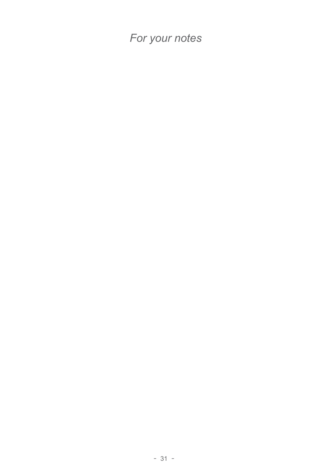*For your notes*